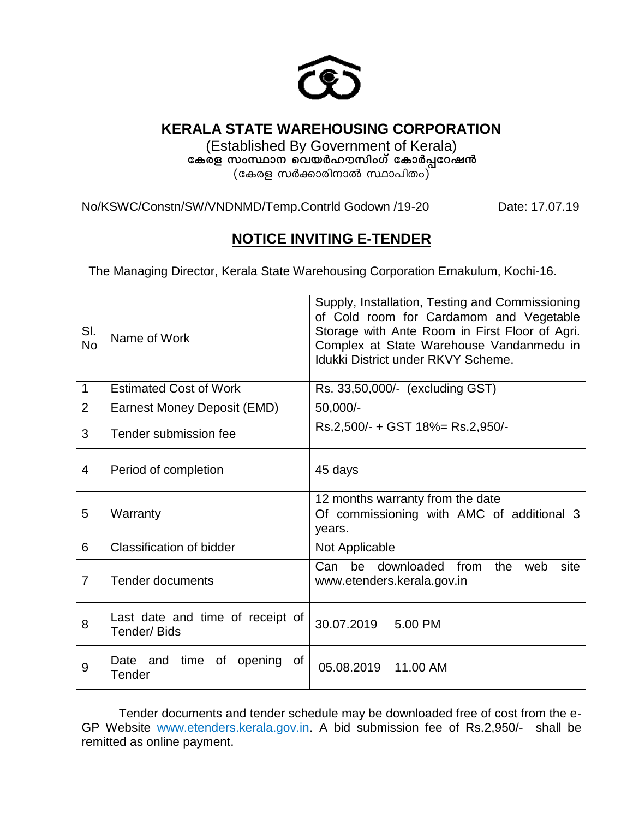

# **KERALA STATE WAREHOUSING CORPORATION**

(Established By Government of Kerala) കേരള സംസ്ഥാന വെയർഹൗസിംഗ് കോർപ്പറേഷൻ (കേരള സർക്കാരിനാൽ സ്ഥാപിതം)

No/KSWC/Constn/SW/VNDNMD/Temp.Contrld Godown /19-20 Date: 17.07.19

# **NOTICE INVITING E-TENDER**

The Managing Director, Kerala State Warehousing Corporation Ernakulum, Kochi-16.

| SI.<br><b>No</b> | Name of Work                                    | Supply, Installation, Testing and Commissioning<br>of Cold room for Cardamom and Vegetable<br>Storage with Ante Room in First Floor of Agri.<br>Complex at State Warehouse Vandanmedu in<br><b>Idukki District under RKVY Scheme.</b> |  |  |  |
|------------------|-------------------------------------------------|---------------------------------------------------------------------------------------------------------------------------------------------------------------------------------------------------------------------------------------|--|--|--|
| 1                | <b>Estimated Cost of Work</b>                   | Rs. 33,50,000/- (excluding GST)                                                                                                                                                                                                       |  |  |  |
| $\overline{2}$   | Earnest Money Deposit (EMD)                     | 50,000/-                                                                                                                                                                                                                              |  |  |  |
| 3                | Tender submission fee                           | Rs.2,500/- + GST 18%= Rs.2,950/-                                                                                                                                                                                                      |  |  |  |
| $\overline{4}$   | Period of completion                            | 45 days                                                                                                                                                                                                                               |  |  |  |
| 5                | Warranty                                        | 12 months warranty from the date<br>Of commissioning with AMC of additional 3<br>years.                                                                                                                                               |  |  |  |
| 6                | <b>Classification of bidder</b>                 | Not Applicable                                                                                                                                                                                                                        |  |  |  |
| $\overline{7}$   | <b>Tender documents</b>                         | be downloaded<br>Can<br>from<br>the<br>web<br>site<br>www.etenders.kerala.gov.in                                                                                                                                                      |  |  |  |
| 8                | Last date and time of receipt of<br>Tender/Bids | 30.07.2019 5.00 PM                                                                                                                                                                                                                    |  |  |  |
| 9                | Date and time<br>0f<br>of<br>opening<br>Tender  | 05.08.2019 11.00 AM                                                                                                                                                                                                                   |  |  |  |

Tender documents and tender schedule may be downloaded free of cost from the e-GP Website www.etenders.kerala.gov.in. A bid submission fee of Rs.2,950/- shall be remitted as online payment.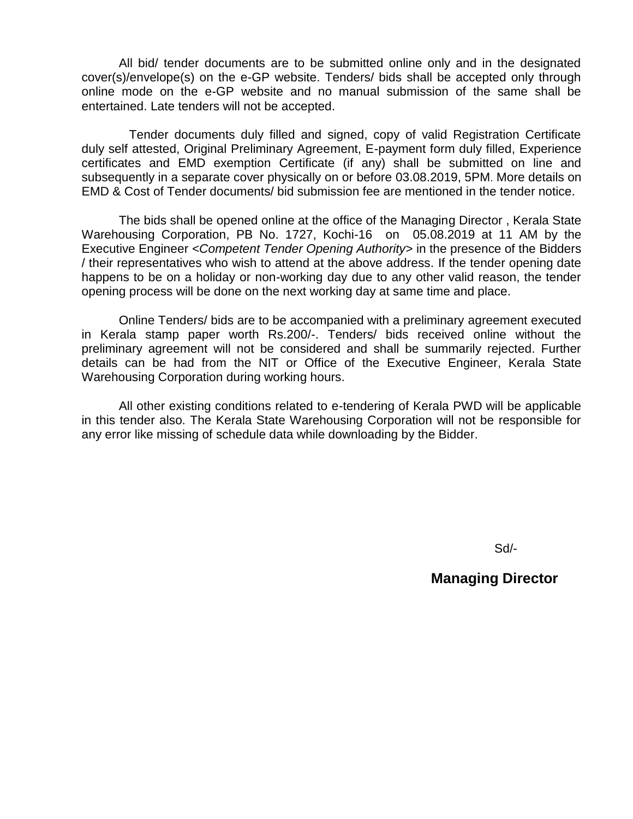All bid/ tender documents are to be submitted online only and in the designated cover(s)/envelope(s) on the e-GP website. Tenders/ bids shall be accepted only through online mode on the e-GP website and no manual submission of the same shall be entertained. Late tenders will not be accepted.

 Tender documents duly filled and signed, copy of valid Registration Certificate duly self attested, Original Preliminary Agreement, E-payment form duly filled, Experience certificates and EMD exemption Certificate (if any) shall be submitted on line and subsequently in a separate cover physically on or before 03.08.2019, 5PM. More details on EMD & Cost of Tender documents/ bid submission fee are mentioned in the tender notice.

The bids shall be opened online at the office of the Managing Director , Kerala State Warehousing Corporation, PB No. 1727, Kochi-16 on 05.08.2019 at 11 AM by the Executive Engineer *<Competent Tender Opening Authority>* in the presence of the Bidders / their representatives who wish to attend at the above address. If the tender opening date happens to be on a holiday or non-working day due to any other valid reason, the tender opening process will be done on the next working day at same time and place.

Online Tenders/ bids are to be accompanied with a preliminary agreement executed in Kerala stamp paper worth Rs.200/-. Tenders/ bids received online without the preliminary agreement will not be considered and shall be summarily rejected. Further details can be had from the NIT or Office of the Executive Engineer, Kerala State Warehousing Corporation during working hours.

All other existing conditions related to e-tendering of Kerala PWD will be applicable in this tender also. The Kerala State Warehousing Corporation will not be responsible for any error like missing of schedule data while downloading by the Bidder.

Sd/-

### **Managing Director**